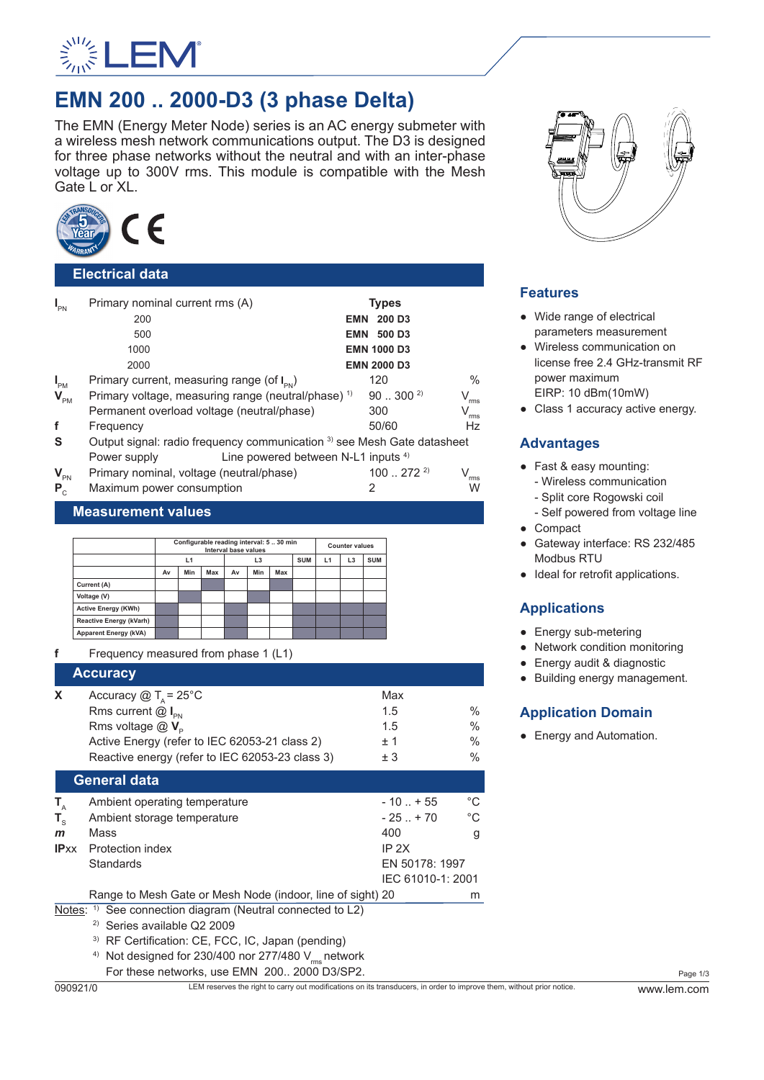

# **EMN 200 .. 2000-D3 (3 phase Delta)**

The EMN (Energy Meter Node) series is an AC energy submeter with a wireless mesh network communications output. The D3 is designed for three phase networks without the neutral and with an inter-phase voltage up to 300V rms. This module is compatible with the Mesh Gate L or XL.



## **Electrical data**

| $I_{\text{PN}}$            | Primary nominal current rms (A)                                         |  | <b>Types</b>       |                             |  |
|----------------------------|-------------------------------------------------------------------------|--|--------------------|-----------------------------|--|
|                            | 200                                                                     |  | <b>EMN 200 D3</b>  |                             |  |
|                            | 500                                                                     |  | <b>EMN 500 D3</b>  |                             |  |
|                            | 1000                                                                    |  | <b>EMN 1000 D3</b> |                             |  |
|                            | 2000                                                                    |  | <b>EMN 2000 D3</b> |                             |  |
| $I_{PM}$                   | Primary current, measuring range (of $I_{\text{av}}$ )                  |  | 120                | $\frac{0}{0}$               |  |
| $\mathbf{V}_{\texttt{PM}}$ | Primary voltage, measuring range (neutral/phase) <sup>1)</sup>          |  | $90300^{2}$        | $V_{\rm rms}$               |  |
|                            | Permanent overload voltage (neutral/phase)                              |  | 300                | $\mathsf{V}_{\mathsf{rms}}$ |  |
| f                          | Frequency                                                               |  | 50/60              | Hz                          |  |
| S                          | Output signal: radio frequency communication 3) see Mesh Gate datasheet |  |                    |                             |  |
|                            | Line powered between N-L1 inputs <sup>4)</sup><br>Power supply          |  |                    |                             |  |
| $V_{\text{PN}}$            | Primary nominal, voltage (neutral/phase)                                |  | $100272^{2}$       | $V_{rms}$                   |  |
| $P_{c}$                    | Maximum power consumption                                               |  | 2                  | W                           |  |

## **Measurement values**

|                              | Configurable reading interval: 530 min<br>Interval base values |     |     |    | <b>Counter values</b> |            |    |                |            |  |
|------------------------------|----------------------------------------------------------------|-----|-----|----|-----------------------|------------|----|----------------|------------|--|
|                              | L1                                                             |     |     | L3 |                       | <b>SUM</b> | L1 | L <sub>3</sub> | <b>SUM</b> |  |
|                              | Av                                                             | Min | Max | Av | Min                   | Max        |    |                |            |  |
| Current (A)                  |                                                                |     |     |    |                       |            |    |                |            |  |
| Voltage (V)                  |                                                                |     |     |    |                       |            |    |                |            |  |
| <b>Active Energy (KWh)</b>   |                                                                |     |     |    |                       |            |    |                |            |  |
| Reactive Energy (kVarh)      |                                                                |     |     |    |                       |            |    |                |            |  |
| <b>Apparent Energy (kVA)</b> |                                                                |     |     |    |                       |            |    |                |            |  |

**f** Frequency measured from phase 1 (L1)

## **Accuracy X** Accuracy  $\textcircled{a}$   $T_A = 25^{\circ} \textcirc{C}$  Max<br>Rms current  $\textcircled{a}$  **I** 1.5 Rms current @ **I** PN  $^{1.5}$  % Rms voltage  $@V_p$  1.5 %<br>Active Fnergy (refer to IFC 62053-21 class 2)  $+1$  % Active Energy (refer to IEC 62053-21 class 2) Reactive energy (refer to IEC 62053-23 class 3)  $\pm 3$  % **General data**  $T_A$  Ambient operating temperature  $T_A$  Ambient storage temperature  $T_A$  and  $T_B$  and  $T_B$  and  $T_B$  and  $T_B$  and  $T_B$  and  $T_B$  and  $T_B$  and  $T_B$  and  $T_B$  and  $T_B$  and  $T_B$  and  $T_B$  and  $T_B$  and  $T_B$  and  $T_B$  and  $T_B$  and Ambient storage temperature

| $\mathbf{L}$ | Uniment storage remperature                                           | - 20. 10          | ◡ |
|--------------|-----------------------------------------------------------------------|-------------------|---|
| $\mathbf{m}$ | Mass                                                                  | 400               | g |
| IPxx         | <b>Protection index</b>                                               | IP 2X             |   |
|              | <b>Standards</b>                                                      | EN 50178: 1997    |   |
|              |                                                                       | IEC 61010-1: 2001 |   |
|              | Range to Mesh Gate or Mesh Node (indoor, line of sight) 20            |                   | m |
|              | Notes: $\frac{1}{1}$ See connection diagram (Neutral connected to L2) |                   |   |
|              |                                                                       |                   |   |

2) Series available Q2 2009

3) RF Certification: CE, FCC, IC, Japan (pending)

<sup>4)</sup> Not designed for 230/400 nor 277/480  $V_{rms}$  network For these networks, use EMN 200.. 2000 D3/SP2.



# **Features**

- Wide range of electrical parameters measurement
- Wireless communication on license free 2.4 GHz-transmit RF power maximum EIRP: 10 dBm(10mW)
- Class 1 accuracy active energy.

# **Advantages**

- Fast & easy mounting: - Wireless communication - Split core Rogowski coil
	- Self powered from voltage line
- Compact
- Gateway interface: RS 232/485 Modbus RTU
- Ideal for retrofit applications.

# **Applications**

- Energy sub-metering
- Network condition monitoring
- Energy audit & diagnostic
- Building energy management.

# **Application Domain**

• Energy and Automation.

Page 1/3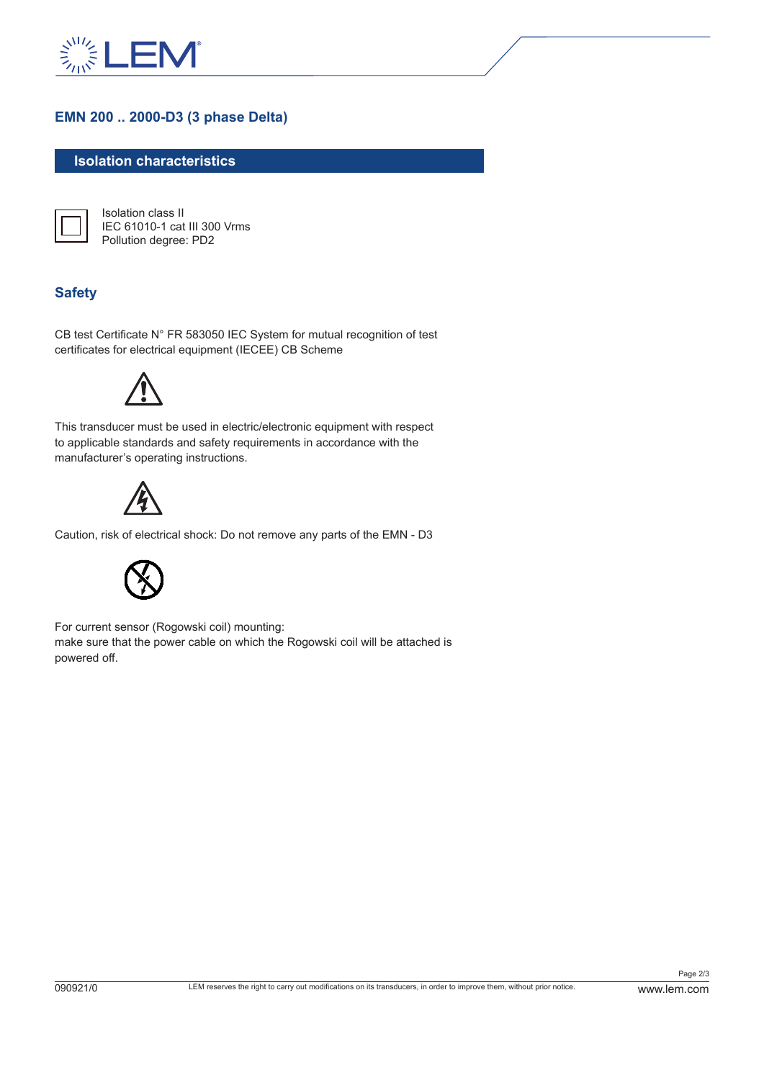

# **EMN 200 .. 2000-D3 (3 phase Delta)**

## **Isolation characteristics**



Isolation class II IEC 61010-1 cat III 300 Vrms Pollution degree: PD2

## **Safety**

CB test Certificate N° FR 583050 IEC System for mutual recognition of test certificates for electrical equipment (IECEE) CB Scheme



This transducer must be used in electric/electronic equipment with respect to applicable standards and safety requirements in accordance with the manufacturer's operating instructions.



Caution, risk of electrical shock: Do not remove any parts of the EMN - D3



For current sensor (Rogowski coil) mounting: make sure that the power cable on which the Rogowski coil will be attached is powered off.